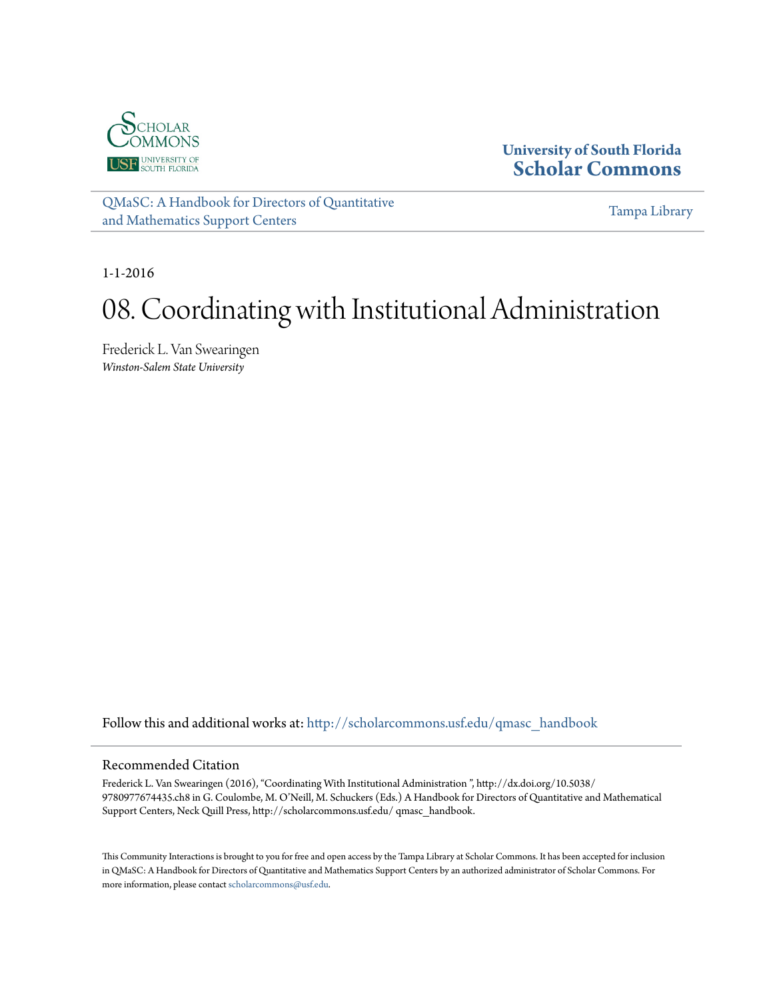

**University of South Florida [Scholar Commons](http://scholarcommons.usf.edu?utm_source=scholarcommons.usf.edu%2Fqmasc_handbook%2F8&utm_medium=PDF&utm_campaign=PDFCoverPages)**

[QMaSC: A Handbook for Directors of Quantitative](http://scholarcommons.usf.edu/qmasc_handbook?utm_source=scholarcommons.usf.edu%2Fqmasc_handbook%2F8&utm_medium=PDF&utm_campaign=PDFCoverPages) [and Mathematics Support Centers](http://scholarcommons.usf.edu/qmasc_handbook?utm_source=scholarcommons.usf.edu%2Fqmasc_handbook%2F8&utm_medium=PDF&utm_campaign=PDFCoverPages)

[Tampa Library](http://scholarcommons.usf.edu/tlib?utm_source=scholarcommons.usf.edu%2Fqmasc_handbook%2F8&utm_medium=PDF&utm_campaign=PDFCoverPages)

1-1-2016

# 08. Coordinating with Institutional Administration

Frederick L. Van Swearingen *Winston-Salem State University*

Follow this and additional works at: [http://scholarcommons.usf.edu/qmasc\\_handbook](http://scholarcommons.usf.edu/qmasc_handbook?utm_source=scholarcommons.usf.edu%2Fqmasc_handbook%2F8&utm_medium=PDF&utm_campaign=PDFCoverPages)

#### Recommended Citation

Frederick L. Van Swearingen (2016), "Coordinating With Institutional Administration ", http://dx.doi.org/10.5038/ 9780977674435.ch8 in G. Coulombe, M. O'Neill, M. Schuckers (Eds.) A Handbook for Directors of Quantitative and Mathematical Support Centers, Neck Quill Press, http://scholarcommons.usf.edu/ qmasc\_handbook.

This Community Interactions is brought to you for free and open access by the Tampa Library at Scholar Commons. It has been accepted for inclusion in QMaSC: A Handbook for Directors of Quantitative and Mathematics Support Centers by an authorized administrator of Scholar Commons. For more information, please contact [scholarcommons@usf.edu](mailto:scholarcommons@usf.edu).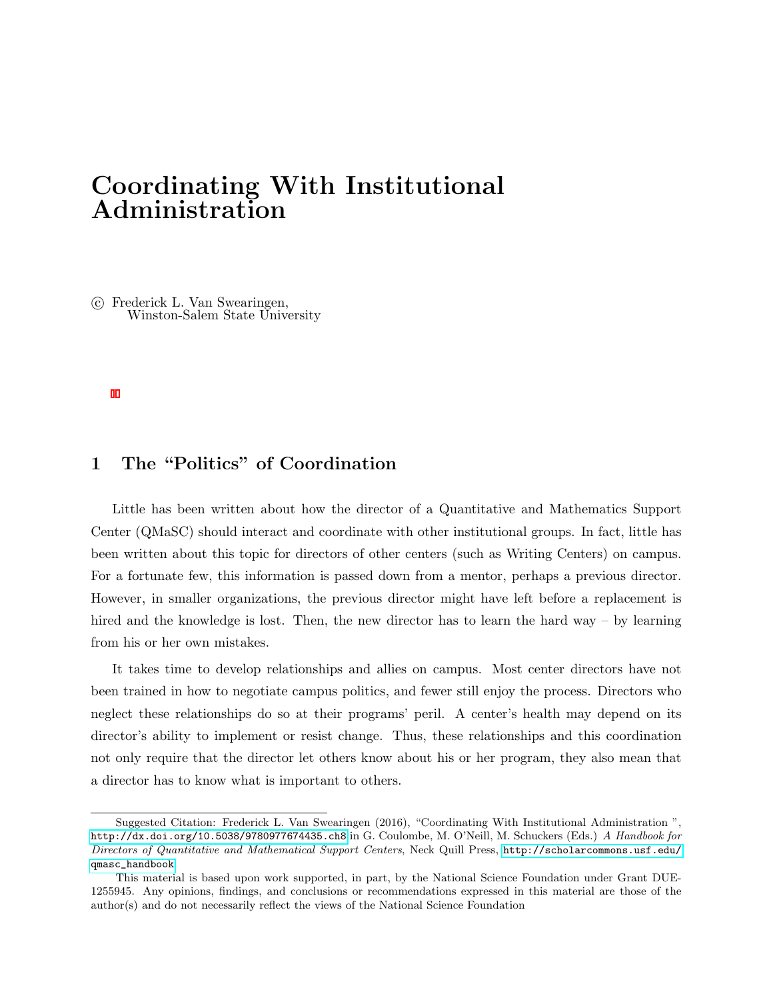# Coordinating With Institutional Administration

 c Frederick L. Van Swearingen, Winston-Salem State University

## 1 The "Politics" of Coordination

Little has been written about how the director of a Quantitative and Mathematics Support Center (QMaSC) should interact and coordinate with other institutional groups. In fact, little has been written about this topic for directors of other centers (such as Writing Centers) on campus. For a fortunate few, this information is passed down from a mentor, perhaps a previous director. However, in smaller organizations, the previous director might have left before a replacement is hired and the knowledge is lost. Then, the new director has to learn the hard way – by learning from his or her own mistakes.

It takes time to develop relationships and allies on campus. Most center directors have not been trained in how to negotiate campus politics, and fewer still enjoy the process. Directors who neglect these relationships do so at their programs' peril. A center's health may depend on its director's ability to implement or resist change. Thus, these relationships and this coordination not only require that the director let others know about his or her program, they also mean that a director has to know what is important to others.

Suggested Citation: Frederick L. Van Swearingen (2016), "Coordinating With Institutional Administration ", <http://dx.doi.org/10.5038/9780977674435.ch8> in G. Coulombe, M. O'Neill, M. Schuckers (Eds.) A Handbook for Directors of Quantitative and Mathematical Support Centers, Neck Quill Press, [http://scholarcommons.usf.edu/](http://scholarcommons.usf.edu/qmasc_handbook) [qmasc\\_handbook](http://scholarcommons.usf.edu/qmasc_handbook).

This material is based upon work supported, in part, by the National Science Foundation under Grant DUE-1255945. Any opinions, findings, and conclusions or recommendations expressed in this material are those of the author(s) and do not necessarily reflect the views of the National Science Foundation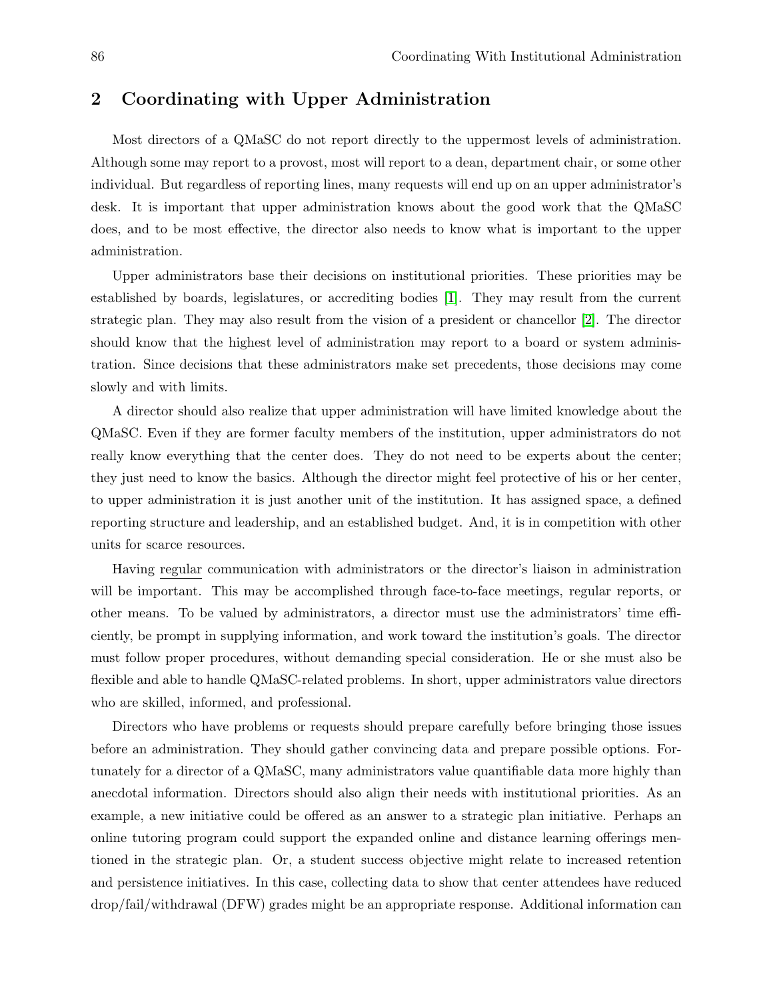#### 2 Coordinating with Upper Administration

Most directors of a QMaSC do not report directly to the uppermost levels of administration. Although some may report to a provost, most will report to a dean, department chair, or some other individual. But regardless of reporting lines, many requests will end up on an upper administrator's desk. It is important that upper administration knows about the good work that the QMaSC does, and to be most effective, the director also needs to know what is important to the upper administration.

Upper administrators base their decisions on institutional priorities. These priorities may be established by boards, legislatures, or accrediting bodies [1]. They may result from the current strategic plan. They may also result from the vision of a president or chancellor [2]. The director should know that the highest level of administration may report to a board or system administration. Since decisions that these administrators make set precedents, those decisions may come slowly and with limits.

A director should also realize that upper administration will have limited knowledge about the QMaSC. Even if they are former faculty members of the institution, upper administrators do not really know everything that the center does. They do not need to be experts about the center; they just need to know the basics. Although the director might feel protective of his or her center, to upper administration it is just another unit of the institution. It has assigned space, a defined reporting structure and leadership, and an established budget. And, it is in competition with other units for scarce resources.

Having regular communication with administrators or the director's liaison in administration will be important. This may be accomplished through face-to-face meetings, regular reports, or other means. To be valued by administrators, a director must use the administrators' time efficiently, be prompt in supplying information, and work toward the institution's goals. The director must follow proper procedures, without demanding special consideration. He or she must also be flexible and able to handle QMaSC-related problems. In short, upper administrators value directors who are skilled, informed, and professional.

Directors who have problems or requests should prepare carefully before bringing those issues before an administration. They should gather convincing data and prepare possible options. Fortunately for a director of a QMaSC, many administrators value quantifiable data more highly than anecdotal information. Directors should also align their needs with institutional priorities. As an example, a new initiative could be offered as an answer to a strategic plan initiative. Perhaps an online tutoring program could support the expanded online and distance learning offerings mentioned in the strategic plan. Or, a student success objective might relate to increased retention and persistence initiatives. In this case, collecting data to show that center attendees have reduced drop/fail/withdrawal (DFW) grades might be an appropriate response. Additional information can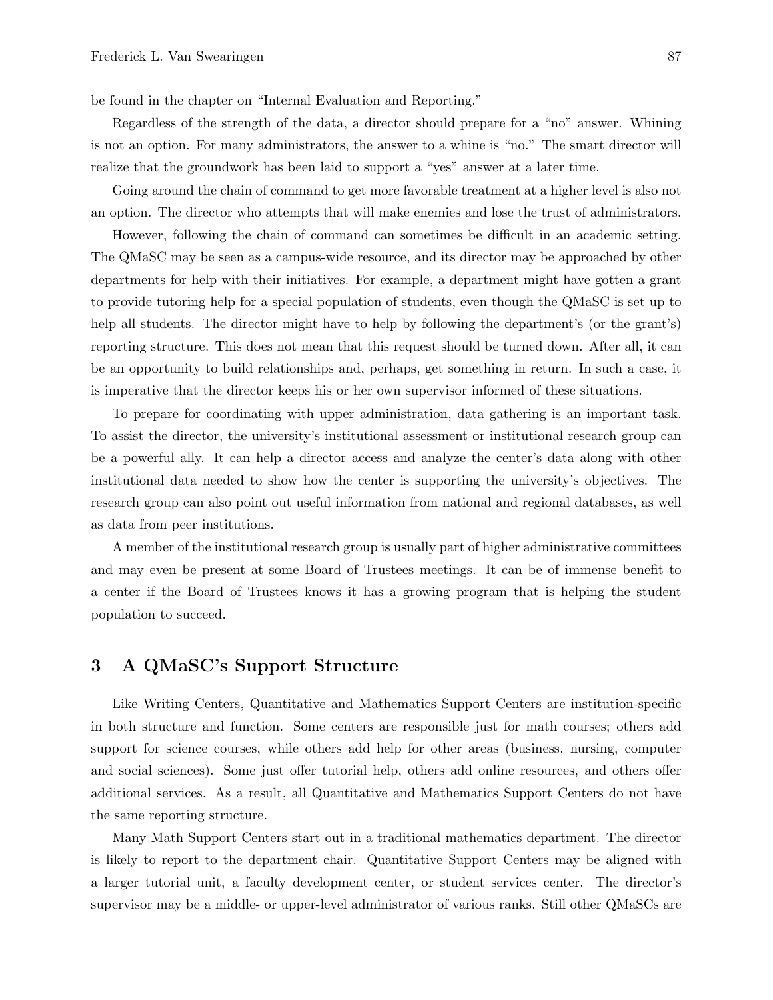be found in the chapter on "Internal Evaluation and Reporting."

Regardless of the strength of the data, a director should prepare for a "no" answer. Whining is not an option. For many administrators, the answer to a whine is "no." The smart director will realize that the groundwork has been laid to support a "yes" answer at a later time.

Going around the chain of command to get more favorable treatment at a higher level is also not an option. The director who attempts that will make enemies and lose the trust of administrators.

However, following the chain of command can sometimes be difficult in an academic setting. The QMaSC may be seen as a campus-wide resource, and its director may be approached by other departments for help with their initiatives. For example, a department might have gotten a grant to provide tutoring help for a special population of students, even though the QMaSC is set up to help all students. The director might have to help by following the department's (or the grant's) reporting structure. This does not mean that this request should be turned down. After all, it can be an opportunity to build relationships and, perhaps, get something in return. In such a case, it is imperative that the director keeps his or her own supervisor informed of these situations.

To prepare for coordinating with upper administration, data gathering is an important task. To assist the director, the university's institutional assessment or institutional research group can be a powerful ally. It can help a director access and analyze the center's data along with other institutional data needed to show how the center is supporting the university's objectives. The research group can also point out useful information from national and regional databases, as well as data from peer institutions.

A member of the institutional research group is usually part of higher administrative committees and may even be present at some Board of Trustees meetings. It can be of immense benefit to a center if the Board of Trustees knows it has a growing program that is helping the student population to succeed.

#### 3 A QMaSC's Support Structure

Like Writing Centers, Quantitative and Mathematics Support Centers are institution-specific in both structure and function. Some centers are responsible just for math courses; others add support for science courses, while others add help for other areas (business, nursing, computer and social sciences). Some just offer tutorial help, others add online resources, and others offer additional services. As a result, all Quantitative and Mathematics Support Centers do not have the same reporting structure.

Many Math Support Centers start out in a traditional mathematics department. The director is likely to report to the department chair. Quantitative Support Centers may be aligned with a larger tutorial unit, a faculty development center, or student services center. The director's supervisor may be a middle- or upper-level administrator of various ranks. Still other QMaSCs are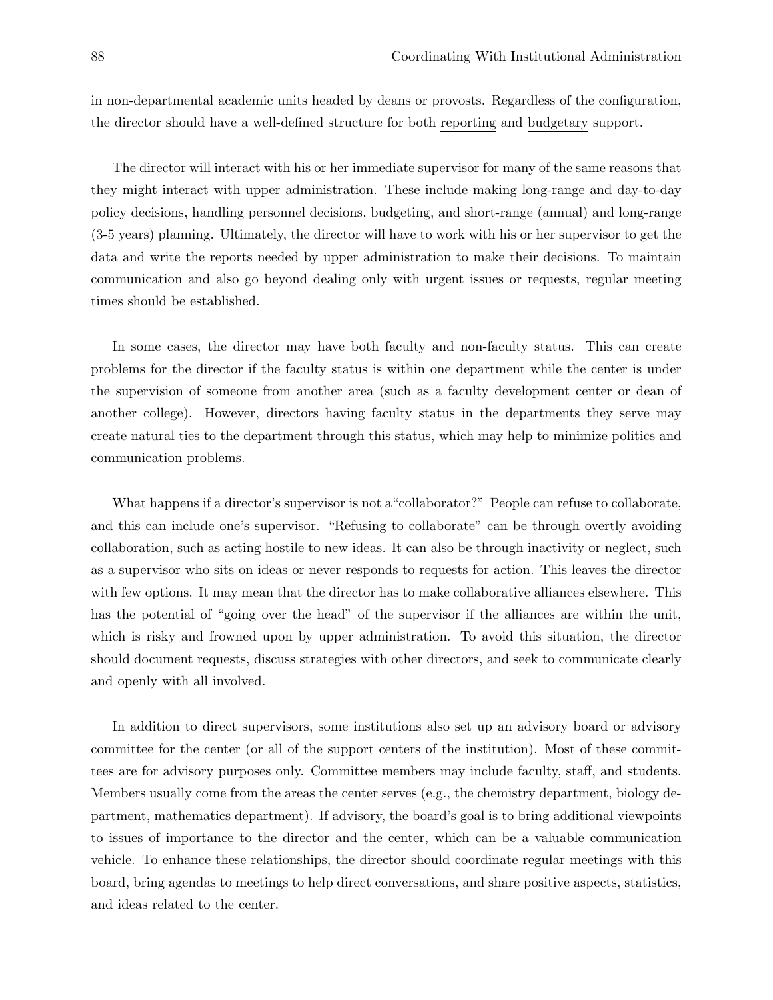in non-departmental academic units headed by deans or provosts. Regardless of the configuration, the director should have a well-defined structure for both reporting and budgetary support.

The director will interact with his or her immediate supervisor for many of the same reasons that they might interact with upper administration. These include making long-range and day-to-day policy decisions, handling personnel decisions, budgeting, and short-range (annual) and long-range (3-5 years) planning. Ultimately, the director will have to work with his or her supervisor to get the data and write the reports needed by upper administration to make their decisions. To maintain communication and also go beyond dealing only with urgent issues or requests, regular meeting times should be established.

In some cases, the director may have both faculty and non-faculty status. This can create problems for the director if the faculty status is within one department while the center is under the supervision of someone from another area (such as a faculty development center or dean of another college). However, directors having faculty status in the departments they serve may create natural ties to the department through this status, which may help to minimize politics and communication problems.

What happens if a director's supervisor is not a"collaborator?" People can refuse to collaborate, and this can include one's supervisor. "Refusing to collaborate" can be through overtly avoiding collaboration, such as acting hostile to new ideas. It can also be through inactivity or neglect, such as a supervisor who sits on ideas or never responds to requests for action. This leaves the director with few options. It may mean that the director has to make collaborative alliances elsewhere. This has the potential of "going over the head" of the supervisor if the alliances are within the unit, which is risky and frowned upon by upper administration. To avoid this situation, the director should document requests, discuss strategies with other directors, and seek to communicate clearly and openly with all involved.

In addition to direct supervisors, some institutions also set up an advisory board or advisory committee for the center (or all of the support centers of the institution). Most of these committees are for advisory purposes only. Committee members may include faculty, staff, and students. Members usually come from the areas the center serves (e.g., the chemistry department, biology department, mathematics department). If advisory, the board's goal is to bring additional viewpoints to issues of importance to the director and the center, which can be a valuable communication vehicle. To enhance these relationships, the director should coordinate regular meetings with this board, bring agendas to meetings to help direct conversations, and share positive aspects, statistics, and ideas related to the center.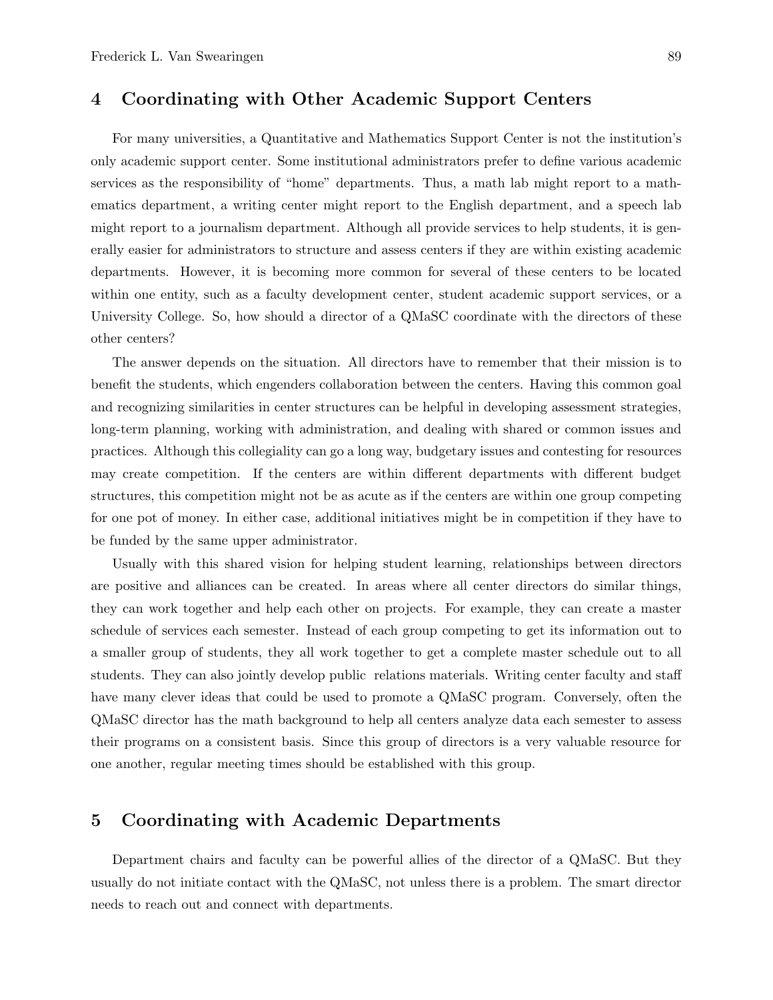#### 4 Coordinating with Other Academic Support Centers

For many universities, a Quantitative and Mathematics Support Center is not the institution's only academic support center. Some institutional administrators prefer to define various academic services as the responsibility of "home" departments. Thus, a math lab might report to a mathematics department, a writing center might report to the English department, and a speech lab might report to a journalism department. Although all provide services to help students, it is generally easier for administrators to structure and assess centers if they are within existing academic departments. However, it is becoming more common for several of these centers to be located within one entity, such as a faculty development center, student academic support services, or a University College. So, how should a director of a QMaSC coordinate with the directors of these other centers?

The answer depends on the situation. All directors have to remember that their mission is to benefit the students, which engenders collaboration between the centers. Having this common goal and recognizing similarities in center structures can be helpful in developing assessment strategies, long-term planning, working with administration, and dealing with shared or common issues and practices. Although this collegiality can go a long way, budgetary issues and contesting for resources may create competition. If the centers are within different departments with different budget structures, this competition might not be as acute as if the centers are within one group competing for one pot of money. In either case, additional initiatives might be in competition if they have to be funded by the same upper administrator.

Usually with this shared vision for helping student learning, relationships between directors are positive and alliances can be created. In areas where all center directors do similar things, they can work together and help each other on projects. For example, they can create a master schedule of services each semester. Instead of each group competing to get its information out to a smaller group of students, they all work together to get a complete master schedule out to all students. They can also jointly develop public relations materials. Writing center faculty and staff have many clever ideas that could be used to promote a QMaSC program. Conversely, often the QMaSC director has the math background to help all centers analyze data each semester to assess their programs on a consistent basis. Since this group of directors is a very valuable resource for one another, regular meeting times should be established with this group.

#### 5 Coordinating with Academic Departments

Department chairs and faculty can be powerful allies of the director of a QMaSC. But they usually do not initiate contact with the QMaSC, not unless there is a problem. The smart director needs to reach out and connect with departments.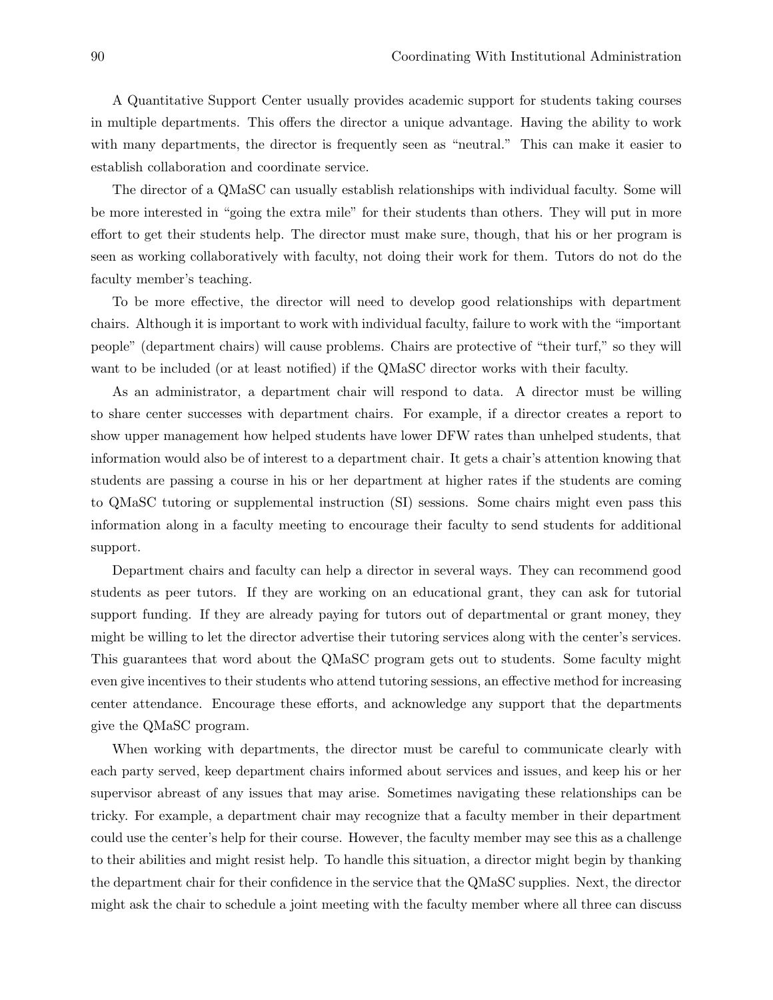A Quantitative Support Center usually provides academic support for students taking courses in multiple departments. This offers the director a unique advantage. Having the ability to work with many departments, the director is frequently seen as "neutral." This can make it easier to establish collaboration and coordinate service.

The director of a QMaSC can usually establish relationships with individual faculty. Some will be more interested in "going the extra mile" for their students than others. They will put in more effort to get their students help. The director must make sure, though, that his or her program is seen as working collaboratively with faculty, not doing their work for them. Tutors do not do the faculty member's teaching.

To be more effective, the director will need to develop good relationships with department chairs. Although it is important to work with individual faculty, failure to work with the "important people" (department chairs) will cause problems. Chairs are protective of "their turf," so they will want to be included (or at least notified) if the QMaSC director works with their faculty.

As an administrator, a department chair will respond to data. A director must be willing to share center successes with department chairs. For example, if a director creates a report to show upper management how helped students have lower DFW rates than unhelped students, that information would also be of interest to a department chair. It gets a chair's attention knowing that students are passing a course in his or her department at higher rates if the students are coming to QMaSC tutoring or supplemental instruction (SI) sessions. Some chairs might even pass this information along in a faculty meeting to encourage their faculty to send students for additional support.

Department chairs and faculty can help a director in several ways. They can recommend good students as peer tutors. If they are working on an educational grant, they can ask for tutorial support funding. If they are already paying for tutors out of departmental or grant money, they might be willing to let the director advertise their tutoring services along with the center's services. This guarantees that word about the QMaSC program gets out to students. Some faculty might even give incentives to their students who attend tutoring sessions, an effective method for increasing center attendance. Encourage these efforts, and acknowledge any support that the departments give the QMaSC program.

When working with departments, the director must be careful to communicate clearly with each party served, keep department chairs informed about services and issues, and keep his or her supervisor abreast of any issues that may arise. Sometimes navigating these relationships can be tricky. For example, a department chair may recognize that a faculty member in their department could use the center's help for their course. However, the faculty member may see this as a challenge to their abilities and might resist help. To handle this situation, a director might begin by thanking the department chair for their confidence in the service that the QMaSC supplies. Next, the director might ask the chair to schedule a joint meeting with the faculty member where all three can discuss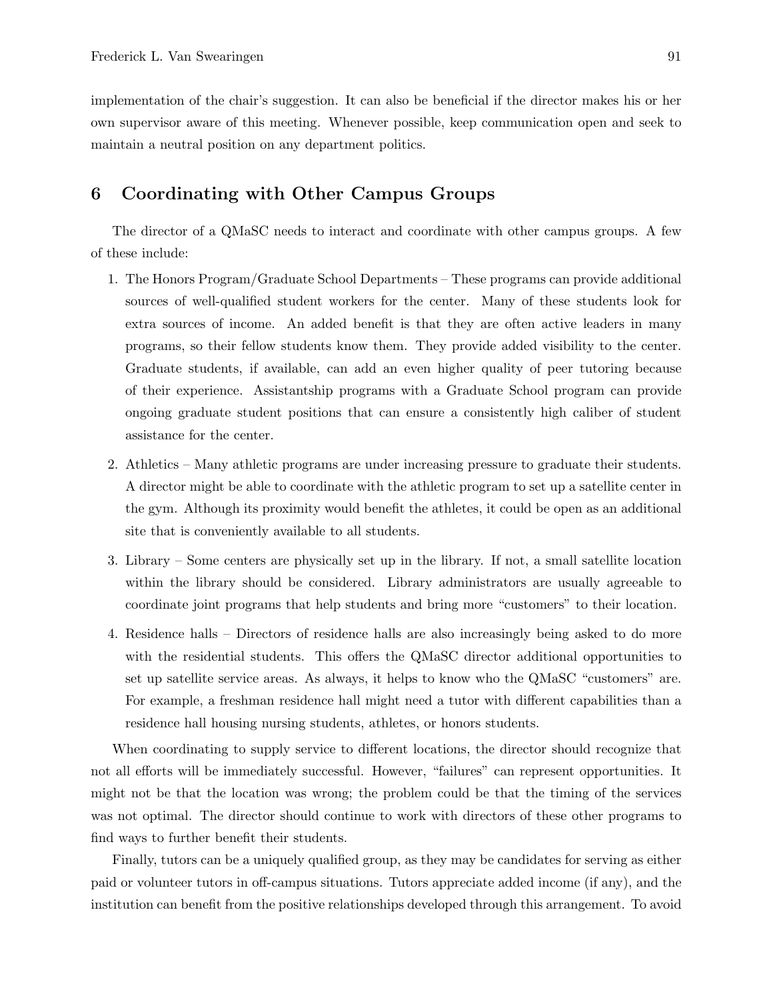implementation of the chair's suggestion. It can also be beneficial if the director makes his or her own supervisor aware of this meeting. Whenever possible, keep communication open and seek to maintain a neutral position on any department politics.

#### 6 Coordinating with Other Campus Groups

The director of a QMaSC needs to interact and coordinate with other campus groups. A few of these include:

- 1. The Honors Program/Graduate School Departments These programs can provide additional sources of well-qualified student workers for the center. Many of these students look for extra sources of income. An added benefit is that they are often active leaders in many programs, so their fellow students know them. They provide added visibility to the center. Graduate students, if available, can add an even higher quality of peer tutoring because of their experience. Assistantship programs with a Graduate School program can provide ongoing graduate student positions that can ensure a consistently high caliber of student assistance for the center.
- 2. Athletics Many athletic programs are under increasing pressure to graduate their students. A director might be able to coordinate with the athletic program to set up a satellite center in the gym. Although its proximity would benefit the athletes, it could be open as an additional site that is conveniently available to all students.
- 3. Library Some centers are physically set up in the library. If not, a small satellite location within the library should be considered. Library administrators are usually agreeable to coordinate joint programs that help students and bring more "customers" to their location.
- 4. Residence halls Directors of residence halls are also increasingly being asked to do more with the residential students. This offers the QMaSC director additional opportunities to set up satellite service areas. As always, it helps to know who the QMaSC "customers" are. For example, a freshman residence hall might need a tutor with different capabilities than a residence hall housing nursing students, athletes, or honors students.

When coordinating to supply service to different locations, the director should recognize that not all efforts will be immediately successful. However, "failures" can represent opportunities. It might not be that the location was wrong; the problem could be that the timing of the services was not optimal. The director should continue to work with directors of these other programs to find ways to further benefit their students.

Finally, tutors can be a uniquely qualified group, as they may be candidates for serving as either paid or volunteer tutors in off-campus situations. Tutors appreciate added income (if any), and the institution can benefit from the positive relationships developed through this arrangement. To avoid